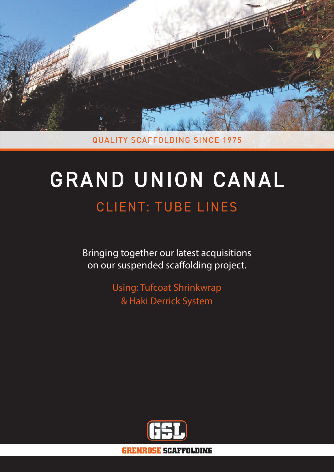

**QUALITY SCAFFOLDING SINCE 1975** 

# GRAND UNION CANAL CLIENT: TUBE LINES

Bringing together our latest acquisitions on our suspended scaffolding project.

> Using: Tufcoat Shrinkwrap & Haki Derrick System



**GRENROSE SCAFFOLDING**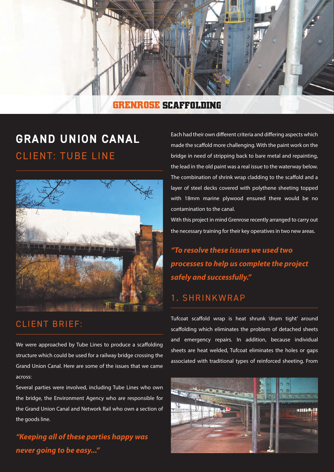

#### **GRENROSE SCAFFOLDING**

## GRAND UNION CANAL CLIENT: TUBE LINE



#### CLIENT BRIEF:

We were approached by Tube Lines to produce a scaffolding structure which could be used for a railway bridge crossing the Grand Union Canal. Here are some of the issues that we came across:

Several parties were involved, including Tube Lines who own the bridge, the Environment Agency who are responsible for the Grand Union Canal and Network Rail who own a section of the goods line.

*"Keeping all of these parties happy was never going to be easy..."*

Each had their own different criteria and differing aspects which made the scaffold more challenging. With the paint work on the bridge in need of stripping back to bare metal and repainting, the lead in the old paint was a real issue to the waterway below. The combination of shrink wrap cladding to the scaffold and a layer of steel decks covered with polythene sheeting topped with 18mm marine plywood ensured there would be no contamination to the canal.

With this project in mind Grenrose recently arranged to carry out the necessary training for their key operatives in two new areas.

*"To resolve these issues we used two processes to help us complete the project safely and successfully."*

#### 1. SHRINKWRAP

Tufcoat scaffold wrap is heat shrunk 'drum tight' around scaffolding which eliminates the problem of detached sheets and emergency repairs. In addition, because individual sheets are heat welded, Tufcoat eliminates the holes or gaps associated with traditional types of reinforced sheeting. From

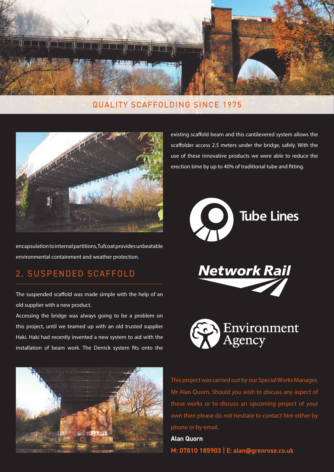

#### QUALITY SCAFFOLDING SINCE 1975



encapsulation to internal partitions, Tufcoat provides unbeatable environmental containment and weather protection.

### 2. SUSPENDED SCAFFOLD

The suspended scaffold was made simple with the help of an old supplier with a new product.

Accessing the bridge was always going to be a problem on this project, until we teamed up with an old trusted supplier Haki. Haki had recently invented a new system to aid with the installation of beam work. The Derrick system fits onto the



existing scaffold beam and this cantilevered system allows the scaffolder access 2.5 meters under the bridge, safely. With the use of these innovative products we were able to reduce the erection time by up to 40% of traditional tube and fitting.







This project was carried out by our Special Works Manager, Mr Alan Quorn. Should you wish to discuss any aspect of these works or to discuss an upcoming project of your own then please do not hesitate to contact him either by phone or by email.

**Alan Quorn M: 07810 185903 | E: alan@grenrose.co.uk**